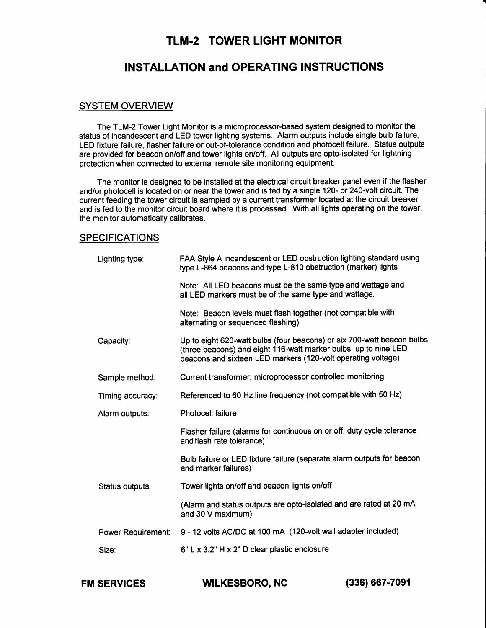# TLM-2 TOWER LIGHT MONITOR

# INSTALLATION and OPERATING INSTRUCTIONS

### SYSTEM OVERVIEW

The TLM-2 Tower Light Monitor is a microprocessor-based system designed to monitor the status of incandescent and LED tower lighting systems. Alarm outputs include single bulb failure, LED fixture failure, flasher failure or out-of-tolerance condition and photocell failure. Status outputs are provided for beacon on/off and tower lights on/otf. All outputs are opto-isolated for lightning protection when connected to external remote site monitoring equipment.

The monitor is designed to be installed at the electrical circuit breaker panel even if the flasher and/or photocell is located on or near the tower and is fed by a single 120- or 240-volt circult. The current feeding the tower circuit is sampled by a current transformer located at the circuit breaker and is fed to the monitor circuit board where it is processed. With all lights operating on the tower, the monitor automatically calibrates.

### SPECIFICATIONS

| Lighting type:     | FAA Style A incandescent or LED obstruction lighting standard using<br>type L-864 beacons and type L-810 obstruction (marker) lights                                                                      |  |  |  |  |
|--------------------|-----------------------------------------------------------------------------------------------------------------------------------------------------------------------------------------------------------|--|--|--|--|
|                    | Note: All LED beacons must be the same type and wattage and<br>all LED markers must be of the same type and wattage.                                                                                      |  |  |  |  |
|                    | Note: Beacon levels must flash together (not compatible with<br>alternating or sequenced flashing)                                                                                                        |  |  |  |  |
| Capacity:          | Up to eight 620-watt bulbs (four beacons) or six 700-watt beacon bulbs<br>(three beacons) and eight 116-watt marker bulbs; up to nine LED<br>beacons and sixteen LED markers (120-volt operating voltage) |  |  |  |  |
| Sample method:     | Current transformer; microprocessor controlled monitoring                                                                                                                                                 |  |  |  |  |
| Timing accuracy:   | Referenced to 60 Hz line frequency (not compatible with 50 Hz)                                                                                                                                            |  |  |  |  |
| Alarm outputs:     | <b>Photocell failure</b>                                                                                                                                                                                  |  |  |  |  |
|                    | Flasher failure (alarms for continuous on or off, duty cycle tolerance<br>and flash rate tolerance)                                                                                                       |  |  |  |  |
|                    | Bulb failure or LED fixture failure (separate alarm outputs for beacon<br>and marker failures)                                                                                                            |  |  |  |  |
| Status outputs:    | Tower lights on/off and beacon lights on/off                                                                                                                                                              |  |  |  |  |
|                    | (Alarm and status outputs are opto-isolated and are rated at 20 mA<br>and 30 V maximum)                                                                                                                   |  |  |  |  |
| Power Requirement: | 9 - 12 volts AC/DC at 100 mA (120-volt wall adapter included)                                                                                                                                             |  |  |  |  |
| Size:              | 6" L x 3.2" H x 2" D clear plastic enclosure                                                                                                                                                              |  |  |  |  |

FM SERVICES WILKESBORO, NC (336) 667-70e1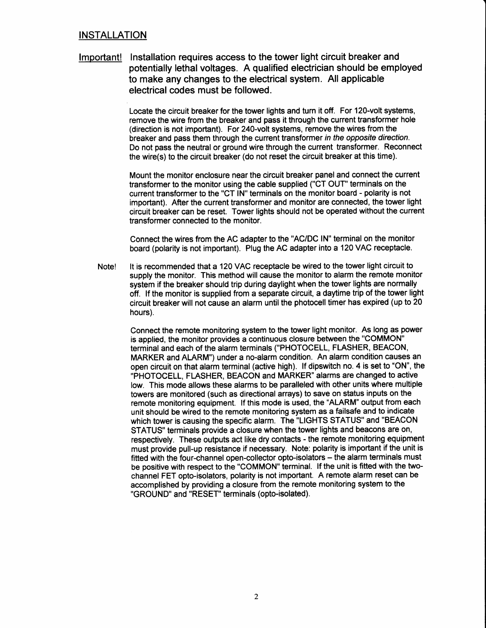## **INSTALLATION**

lmportant! Installation requires access to the tower light circuit breaker and potentially lethal voltages. A qualified electrician should be employed to make any changes to the electrical system. All applicable electrical codes must be followed.

> Locate the circuit breaker for the tower lights and turn it off. For 120-volt systems, remove the wire from the breaker and pass it through the current transformer hole (direction is not important). For 240-volt systems, remove the wires from the breaker and pass them through the current transformer in the opposite direction. Do not pass the neutral or ground wire through the current transformer. Reconnect the wire(s) to the circuit breaker (do not reset the circuit breaker at this time).

> Mount the monitor enclosure near the circuit breaker panel and connect the current transformer to the monitor using the cable supplied ("CT OUT" terminals on the current transformer to the "CT IN" terminals on the monitor board - polarity is not important). After the current transformer and monitor are connected, the tower light circuit breaker can be reset. Tower lights should not be operated without the current transformer connected to the monitor.

Connect the wires from the AC adapter to the "AC/DC lN" terminal on the monitor board (polarity is not important). Plug the AC adapter into a 120 VAC receptacle.

Note! It is recommended that a 120 VAC receptacle be wired to the tower light circuit to supply the monitor. This method will cause the monitor to alarm the remote monitor system if the breaker should trip during daylight when the tower lights are normally off. lf the monitor is supplied from a separate circuit, a daytime trip of the tower light circuit breaker will not cause an alarm until the photocell timer has expired (up to 20 hours).

> Connect the remote monitoring system to the tower light monitor. As long as power is applied, the monitor provides a continuous closure between the "COMMON" terminal and each of the alarm terminals ("PHOTOCELL, FLASHER, BEACON, MARKER and ALARM") under a no-alarm condition. An alarm condition causes an open circuit on that alarm terminal (active high). lf dipswitch no. 4 is set to "ON", the "PHOTOCELL, FLASHER, BEACON and MARKER" alarms are changed to active low. This mode allows these alarms to be paralleled with other units where multiple towers are monitored (such as directional arrays) to save on status inputs on the remote monitoring equipment. lf this mode is used, the "ALARM" output from each unit should be wired to the remote monitoring system as a failsafe and to indicate which tower is causing the specific alarm. The "LIGHTS STATUS" and "BEACON STATUS" terminals provide a closure when the tower lights and beacons are on, respectively. These outputs act like dry contacts - the remote monitoring equipment must provide pull-up resistance if necessary. Note: polarity is important if the unit is fitted with the four-channel open-collector opto-isolators - the alarm terminals must be positive with respect to the "COMMON" terminal. lf the unit is fitted with the twochannel FET opto-isolators, polarity is not important. A remote alarm reset can be accomplished by providing a closure from the remote monitoring system to the "GROUND" and "RESET" terminals (opto-isolated).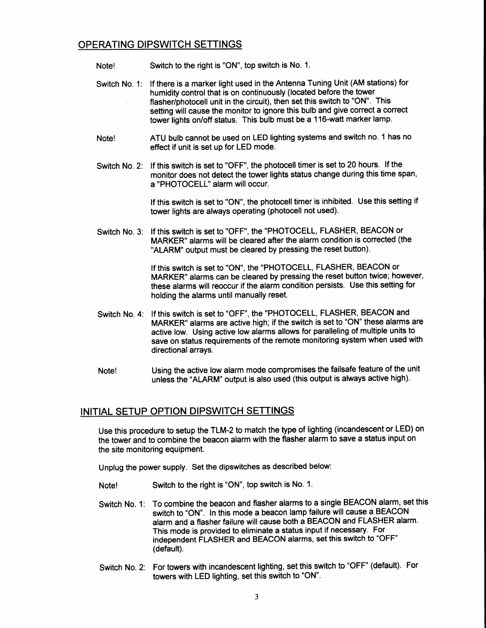## OPERATING DIPSWITCH SETTINGS

- Note! Switch to the right is "ON", top switch is No. 1.
- Switch No. 1: lf there is a marker light used in the Antenna Tuning Unit (AM stations) for humidity control that is on continuously (located before the tower flasher/photocell unit in the circuit), then set this switch to "ON". This setting will cause the monitor to ignore this bulb and give correct a correct tower lights on/off status. This bulb must be a 116-watt marker lamp.
- Note! ATU bulb cannot be used on LED lighting systems and switch no. 1 has no effect if unit is set up for LED mode.
- Switch No. 2: lf this switch is set to "OFF", the photocell timer is set to 20 hours. lf the monitor does not detect the tower lights status change during this time span, a "PHOTOCELL" alarm will occur.

lf this switch is set to "ON", the photocell timer is inhibited. Use this setting if tower lights are always operating (photocell not used).

Switch No. 3: lf this switch is set to "OFF", the "PHOTOCELL, FLASHER, BEACON or MARKER" alarms will be cleared after the alarm condition is corrected (the "ALARM" output must be cleared by pressing the reset button).

> lf this switch is set to "ON", the "PHOTOCELL, FLASHER, BEACON or MARKER" alarms can be cleared by pressing the reset button twice; however, these alarms will reoccur if the alarm condition persists. Use this setting for holding the alarms until manually reset.

- Switch No. 4: lf this switch is set to "OFF", the "PHOTOCELL, FLASHER, BEACON and MARKER" alarms are active high; if the switch is set to "ON" these alarms are active low. Using active low alarms allows for paralleling of multiple units to save on status requirements of the remote monitoring system when used with directional arrays.
- Note! Using the active low alarm mode compromises the failsafe feature of the unit unless the "ALARM" output is also used (this output is always active high).

## INITIAL SETUP OPTION DIPSWITCH SETTINGS

Use this procedure to setup the TLM-2 to match the type of lighting (incandescent or LED) on the tower and to combine the beacon alarm with the flasher alarm to save a status input on the site monitoring equipment.

Unplug the power supply. Set the dipswitches as described below:

- Note! Switch to the right is "ON", top switch is No. 1.
- Switch No. 1: To combine the beacon and flasher alarms to a single BEACON alarm, set this switch to "ON". In this mode a beacon lamp failure will cause a BEACON alarm and a flasher failure will cause both a BEACON and FLASHER alarm. This mode is provided to eliminate a status input if necessary. For independent FLASHER and BEACON alarms, set this switch to "OFF" (default).
- Switch No. 2: For towers with incandescent lighting, set this switch to "OFF" (default). For towers with LED lighting, set this switch to "ON'.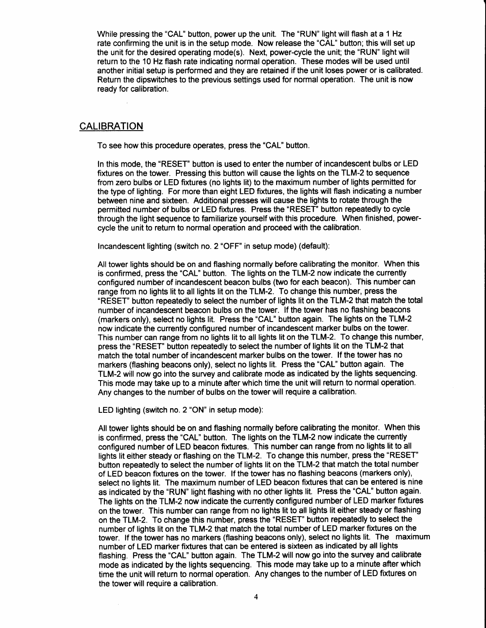While pressing the "CAL" button, power up the unit. The "RUN" light will flash at a 1 Hz rate confirming the unit is in the setup mode. Now release the "CAL" button; this will set up the unit for the desired operating mode(s). Next, power-cycle the unit; the "RUN" light will return to the 10 Hz flash rate indicating normal operation. These modes will be used until another initial setup is performed and they are retained if the unit loses power or is calibrated. Return the dipswitches to the previous settings used for normal operation. The unit is now ready for calibration.

#### **CALIBRATION**

To see how this procedure operates, press the "CAL" button.

In this mode, the "RESET" button is used to enter the number of incandescent bulbs or LED fixtures on the tower. Pressing this button will cause the lights on the TLM-2 to sequence from zero bulbs or LED fixtures (no lights lit) to the maximum number of lights permitted for the type of lighting. For more than eight LED fixtures, the lights will flash indicating a number between nine and sixteen. Additional presses will cause the lights to rotate through the permitted number of bulbs or LED fixtures. Press the "RESET" button repeatedly to cycle through the light sequence to familiarize yourself with this procedure. When finished, powercycle the unit to return to normal operation and proceed with the calibration.

Incandescent lighting (switch no. 2 "OFF" in setup mode) (default):

All tower lights should be on and flashing normally before calibrating the monitor. When this is confirmed, press the "CAL" button. The lights on the TLM-2 now indicate the currently configured number of incandescent beacon bulbs (two for each beacon). This number can range from no lights lit to all lights lit on the TLM-2. To change this number, press the "RESET" button repeatedly to select the number of lights lit on the TLM-2 that match the total number of incandescent beacon bulbs on the tower. lf the tower has no flashing beacons (markers only), select no lights lit. Press the "CAL" button again. The lights on the TLM-2 now indicate the currently configured number of incandescent marker bulbs on the tower. This number can range from no lights lit to all lights lit on the TLM-2. To change this number, press the "RESET" button repeatedly to selecthe number of lights lit on the TLM-2 that match the total number of incandescent marker bulbs on the tower. lf the tower has no markers (flashing beacons only), select no lights lit. Press the "CAL" button again. The TLM-2 will now go into the survey and calibrate mode as indicated by the lights sequencing. This mode may take up to a minute after which time the unit will return to normal operation. Any changes to the number of bulbs on the tower will require a calibration.

LED lighting (switch no. 2 "ON" in setup mode):

All tower lights should be on and flashing normally before calibrating the monitor. When this is confirmed, press the "CAL" button. The lights on the TLM-2 now indicate the currently configured number of LED beacon fixtures. This number can range from no lights lit to all lights lit either steady or flashing on the TLM-2. To change this number, press the "RESET" button repeatedly to select the number of lights lit on the TLM-2 that match the total number of LED beacon fixtures on the tower. lf the tower has no flashing beacons (markers only), select no lights lit. The maximum number of LED beacon fixtures that can be entered is nine as indicated by the "RUN" light flashing with no other lights lit. Press the "CAL" button again. The lights on the TLM-2 now indicate the currently configured number of LED marker fixtures on the tower. This number can range from no lights lit to all lights lit either steady or flashing on the TLM-2. To change this number, press the "RESET" button repeatedly to select the number of lights lit on the TLM-2 that match the total number of LED marker fixtures on the tower. lf the tower has no markers (flashing beacons only), select no lights lit. The maximum number of LED marker fixtures that can be entered is sixteen as indicated by all lights flashing. Press the "CAL" button again. The TLM-2 will now go into the survey and calibrate mode as indicated by the lights sequencing. This mode may take up to a minute after which time the unit will return to normal operation. Any changes to the number of LED fixtures on the tower will require a calibration.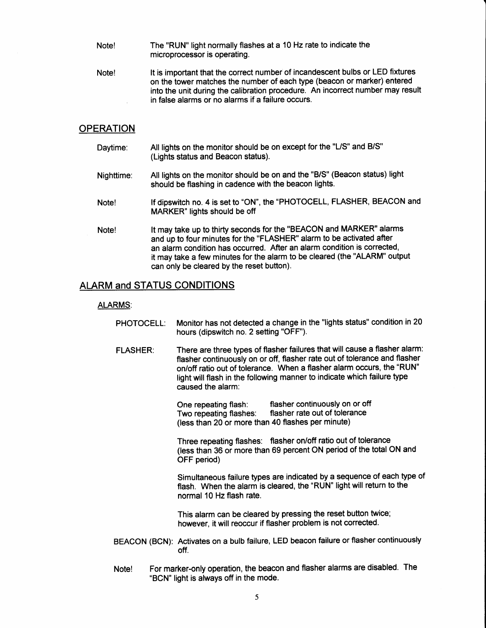- Note! The "RUN" light normally flashes at a 10 Hz rate to indicate the microprocessor is operating.
- Note! lt is important that the correct number of incandescent bulbs or LED fixtures on the tower matches the number of each type (beacon or marker) entered into the unit during the calibration procedure. An incorrect number may result in false alarms or no alarms if a failure occurs.

### **OPERATION**

- Daytime: All lights on the monitor should be on except for the "L/S" and B/S" (Lights status and Beacon status).
- Nighttime: All lights on the monitor should be on and the "B/S" (Beacon status) light should be flashing in cadence with the beacon lights.
- Note! If dipswitch no. 4 is set to "ON", the "PHOTOCELL, FLASHER, BEACON and MARKER" lights should be otf
- Note! lt may take up to thirty seconds for the "BEACON and MARKER" alarms and up to four minutes for the "FLASHER" alarm to be activated after an alarm condition has occurred. After an alarm condition is corrected, it may take a few minutes for the alarm to be cleared (the "ALARM" output can only be cleared by the reset button).

## ALARM and STATUS CONDITIONS

#### ALARMS:

- PHOTOCELL: Monitor has not detected a change in the "lights status" condition in 20 hours (dipswitch no. 2 setting "OFF").
- FLASHER: There are three types of flasher failures that will cause a flasher alarm: flasher continuously on or off, flasher rate out of tolerance and flasher on/otf ratio out of tolerance. When a flasher alarm occurs, the "RUN" light will flash in the following manner to indicate which failure type caused the alarm:

One repeating flash: flasher continuously on or off<br>Two repeating flashes: flasher rate out of tolerance flasher rate out of tolerance (less than 20 or more than 40 flashes per minute)

Three repeating flashes: flasher on/off ratio out of tolerance (less than 36 or more than 69 percent ON period of the total ON and OFF period)

Simultaneous failure types are indicated by a sequence of each type of flash. When the alarm is cleared, the "RUN" light will return to the normal 10 Hz flash rate.

This alarm can be cleared by pressing the reset button twice; however, it will reoccur if flasher problem is not corrected.

- BEACON (BCN): Activates on a bulb failure, LED beacon failure or flasher continuously otf.
- Note! For marker-only operation, the beacon and flasher alarms are disabled. The "BCN' light is always off in the mode.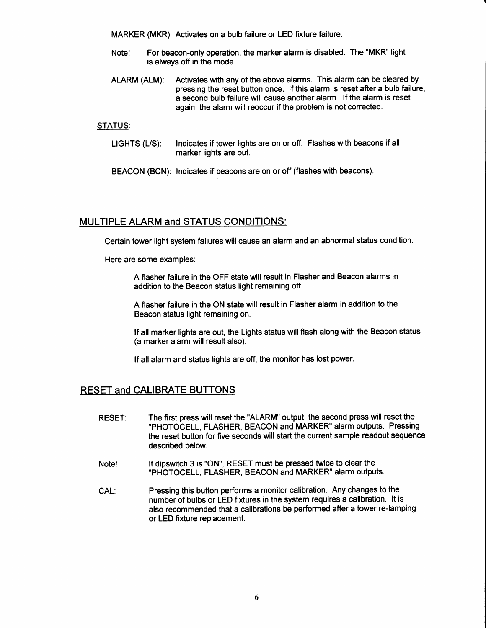MARKER (MKR): Activates on a bulb failure or LED fixture failure.

- Note! For beacon-only operation, the marker alarm is disabled. The "MKR" light is always off in the mode.
- ALARM (ALM): Activates with any of the above alarms. This alarm can be cleared by pressing the reset button once. lf this alarm is reset after a bulb failure, a second bulb failure will cause another alarm. lf the alarm is reset again, the alarm will reoccur if the problem is not corrected.

#### STATUS:

- LIGHTS (L/S): Indicates if tower lights are on or off. Flashes with beacons if all marker lights are out.
- BEACON (BCN): Indicates if beacons are on or off (flashes with beacons).

## MULTIPLE ALARM and STATUS CONDITIONS:

Certain tower light system failures will cause an alarm and an abnormal status condition.

Here are some examples:

A flasher failure in the OFF state will result in Flasher and Beacon alarms in addition to the Beacon status light remaining off.

A flasher failure in the ON state will result in Flasher alarm in addition to the Beacon status light remaining on.

lf all marker lights are out, the Lights status will flash along with the Beacon status (a marker alarm will result also).

lf all alarm and status lights are otf, the monitor has lost power.

## RESET and CALIBRATE BUTTONS

- RESET: The first press will reset the "ALARM" output, the second press will reset the "PHOTOCELL, FLASHER, BEACON and MARKER" alarm outputs. Pressing the reset button for five seconds will start the current sample readout sequence described below.
- Note! lf dipswitch 3is "ON", RESET must be pressed twice to clear the "PHOTOCELL, FLASHER, BEACON and MARKER" alarm outputs.
- CAL: Pressing this button performs a monitor calibration. Any changes to the number of bulbs or LED fixtures in the system requires a calibration. lt is also recommended that a calibrations be performed after a tower re-lamping or LED fixture replacement.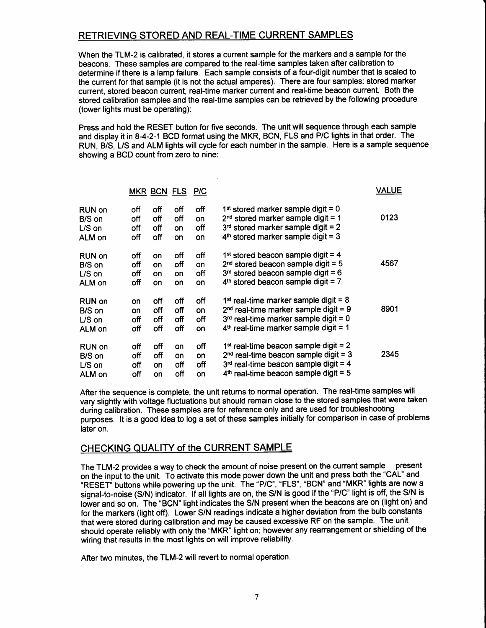## RETRIEVING STORED AND REAL.TIME CURRENT SAMPLES

When the TLM-2 is calibrated, it stores a current sample for the markers and a sample for the beacons. These samples are compared to the real-time samples taken after calibration to determine if there is a lamp failure. Each sample consists of a four-digit number that is scaled to the current for that sample (it is not the actual amperes). There are four samples: stored marker current, stored beacon current, real-time marker current and real-time beacon current. Both the stored calibration samples and the real-time samples can be retrieved by the following procedure (tower lights must be operating):

Press and hold the RESET button for five seconds. The unit will sequence through each sample and display it in 8-4-2-1 BCD format using the MKR, BCN, FLS and P/C lights in that order. The RUN, B/S, US and ALM lights will cycle for each number in the sample. Here is a sample sequence showing a BCD count from zero to nine:

|         |     |           | MKR BCN FLS P/C |     |                                                     | <b>VALUE</b> |
|---------|-----|-----------|-----------------|-----|-----------------------------------------------------|--------------|
| RUN on  | off | off       | off             | off | 1 <sup>st</sup> stored marker sample digit = $0$    | 0123         |
| B/S on  | off | off       | off             | on  | $2nd$ stored marker sample digit = 1                |              |
| $LS$ on | off | off       | on              | off | $3rd$ stored marker sample digit = 2                |              |
| ALM on  | off | off       | on              | on  | $4th$ stored marker sample digit = 3                |              |
| RUN on  | off | on        | off             | off | 1 <sup>st</sup> stored beacon sample digit = 4      | 4567         |
| B/S on  | off | <b>on</b> | off             | on  | $2nd$ stored beacon sample digit = 5                |              |
| US on   | off | <b>on</b> | on              | off | $3rd$ stored beacon sample digit = 6                |              |
| ALM on  | off | on        | on              | on  | $4th$ stored beacon sample digit = 7                |              |
| RUN on  | on  | off       | off             | off | 1 <sup>st</sup> real-time marker sample digit = $8$ | 8901         |
| B/S on  | on  | off       | off             | on  | $2nd$ real-time marker sample digit = 9             |              |
| $LS$ on | off | off       | off             | off | $3rd$ real-time marker sample digit = 0             |              |
| ALM on  | off | off       | off             | on  | $4th$ real-time marker sample digit = 1             |              |
| RUN on  | off | off       | on              | off | $1st$ real-time beacon sample digit = 2             | 2345         |
| B/S on  | off | off       | on              | on  | $2nd$ real-time beacon sample digit = 3             |              |
| $LS$ on | off | on        | off             | off | $3rd$ real-time beacon sample digit = 4             |              |
| ALM on  | off | on        | off             | on  | $4th$ real-time beacon sample digit = 5             |              |

After the sequence is complete, the unit returns to normal operation. The real-time samples will vary slighfly with voltage fluctuations but should remain close to the stored samples that were taken during calibration. These samples are for reference only and are used for troubleshooting purposes. lt is a good idea to log a set of these samples initially for comparison in case of problems later on.

## CHECKING QUALITY of the CURRENT SAMPLE

The TLM-2 provides a way to check the amount of noise present on the current sample present on the input to the unit. To activate this mode power down the unit and press both the "CAL" and "RESET" buttons while powering up the unit. The "P/C", "FLS", "BCN" and "MKR" lights are now a signal-to-noise (S/N) indicator. If all lights are on, the S/N is good if the "P/C" light is off, the S/N is lower and so on. The "BCN" light indicates the S/N present when the beacons are on (light on) and for the markers (light off). Lower S/N readings indicate a higher deviation from the bulb constants that were stored during calibration and may be caused excessive RF on the sample. The unit should operate reliably with only the "MKR" light on; however any rearrangement orshielding of the wiring that results in the most lights on will improve reliability.

After two minutes, the TLM-2 will revert to normal operation.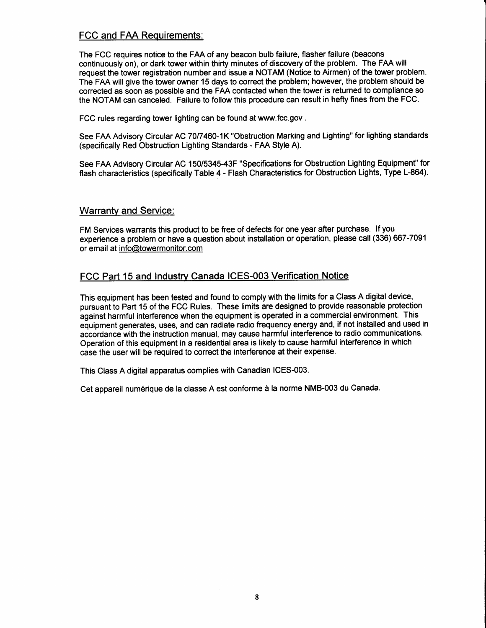## FCC and FAA Requirements.

The FCC requires notice to the FAA of any beacon bulb failure, flasher failure (beacons continuously on), or dark tower within thirty minutes of discovery of the problem. The FAA will request the tower registration number and issue a NOTAM (Notice to Airmen) of the tower problem. The FAA will give the tower owner 15 days to correct the problem; however, the problem should be corrected as soon as possible and the FAA contacted when the tower is returned to compliance so the NOTAM can canceled. Failure to follow this procedure can result in hefty fines from the FCC.

FCC rules regarding tower lighting can be found at www.fcc.gov .

See FAA Advisory Circular AC 7017460-1K "Obstruction Marking and Lighting" for lighting standards (specifically Red Obstruction Lighting Standards - FAA Style A).

See FAA Advisory Circular AC 150/5345-43F "Specifications for Obstruction Lighting Equipment" for flash characteristics (specifically Table 4 - Flash Characteristics for Obstruction Lights, Type L-864).

### Warrantv and Service:

FM Services warrants this product to be free of defects for one year after purchase. If you experience a problem or have a question about installation or operation, please call (336) 667-7091 or email at info@towermonitor.com

## FCC Part 15 and Industry Canada ICES-003 Verification Notice

This equipment has been tested and found to comply with the limits for a Class A digital device, pursuant to Part 15 of the FCC Rules. These limits are designed to provide reasonable protection against harmful interference when the equipment is operated in a commercial environment. This equipment generates, uses, and can radiate radio frequency energy and, if not installed and used in accordance with the instruction manual, may cause harmful interference to radio communications. Operation of this equipment in a residential area is likely to cause harmful interference inwhich case the user will be required to correct the interference at their expense.

This Class A digital apparatus complies with Canadian ICES-003.

Cet appareil num6rique de la classe A est conforme d la norme NMB-003 du Canada.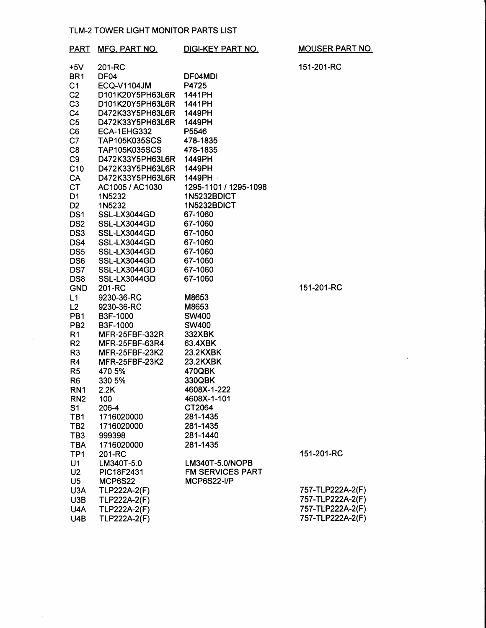#### TLM-2 TOWER LIGHT MONITOR PARTS LIST

 $\overline{\phantom{a}}$ 

| <b>PART</b>     | MFG. PART NO.         | DIGI-KEY PART NO.       | <b>MOUSER PART NO.</b> |
|-----------------|-----------------------|-------------------------|------------------------|
| $+5V$           | 201-RC                |                         | 151-201-RC             |
| BR <sub>1</sub> | DF04                  | DF04MDI                 |                        |
| C <sub>1</sub>  | <b>ECQ-V1104JM</b>    | P4725                   |                        |
| C <sub>2</sub>  | D101K20Y5PH63L6R      | 1441PH                  |                        |
| C <sub>3</sub>  | D101K20Y5PH63L6R      | 1441PH                  |                        |
| C <sub>4</sub>  | D472K33Y5PH63L6R      | 1449PH                  |                        |
| C <sub>5</sub>  | D472K33Y5PH63L6R      | 1449PH                  |                        |
| C <sub>6</sub>  | ECA-1EHG332           | P5546                   |                        |
| C7              | <b>TAP105K035SCS</b>  | 478-1835                |                        |
| C <sub>8</sub>  | <b>TAP105K035SCS</b>  | 478-1835                |                        |
| C <sub>9</sub>  | D472K33Y5PH63L6R      | 1449PH                  |                        |
| C10             | D472K33Y5PH63L6R      | 1449PH                  |                        |
| CA              | D472K33Y5PH63L6R      | 1449PH -                |                        |
| <b>CT</b>       | AC1005 / AC1030       | 1295-1101 / 1295-1098   |                        |
| D <sub>1</sub>  | 1N5232                | 1N5232BDICT             |                        |
| D <sub>2</sub>  | 1N5232                | 1N5232BDICT             |                        |
| DS <sub>1</sub> | SSL-LX3044GD          | 67-1060                 |                        |
| DS <sub>2</sub> | SSL-LX3044GD          | 67-1060                 |                        |
| DS3             | SSL-LX3044GD          | 67-1060                 |                        |
| DS4             | SSL-LX3044GD          | 67-1060                 |                        |
| DS <sub>5</sub> | SSL-LX3044GD          | 67-1060                 |                        |
| DS <sub>6</sub> | SSL-LX3044GD          | 67-1060                 |                        |
| DS7             | SSL-LX3044GD          | 67-1060                 |                        |
| DS8             | SSL-LX3044GD          | 67-1060                 |                        |
| <b>GND</b>      | 201-RC                |                         | 151-201-RC             |
| L1              | 9230-36-RC            | M8653                   |                        |
| L2              | 9230-36-RC            | M8653                   |                        |
| PB <sub>1</sub> | B3F-1000              | <b>SW400</b>            |                        |
| PB <sub>2</sub> | B3F-1000              | <b>SW400</b>            |                        |
| R <sub>1</sub>  | <b>MFR-25FBF-332R</b> | 332XBK                  |                        |
| R <sub>2</sub>  | MFR-25FBF-63R4        | 63.4XBK                 |                        |
| R <sub>3</sub>  | <b>MFR-25FBF-23K2</b> | 23.2KXBK                |                        |
| R <sub>4</sub>  | <b>MFR-25FBF-23K2</b> | 23.2KXBK                |                        |
| R <sub>5</sub>  | 470 5%                | 470QBK                  |                        |
| R <sub>6</sub>  | 330 5%                | 330QBK                  |                        |
| RN <sub>1</sub> | 2.2K                  | 4608X-1-222             |                        |
| RN <sub>2</sub> | 100                   | 4608X-1-101             |                        |
| S1              | 206-4                 | CT2064                  |                        |
| TB1             | 1716020000            | 281-1435                |                        |
| TB <sub>2</sub> | 1716020000            | 281-1435                |                        |
| TB <sub>3</sub> | 999398                | 281-1440                |                        |
| <b>TBA</b>      | 1716020000            | 281-1435                |                        |
| TP <sub>1</sub> | 201-RC                |                         | 151-201-RC             |
| U1              | LM340T-5.0            | LM340T-5.0/NOPB         |                        |
| U <sub>2</sub>  | PIC18F2431            | <b>FM SERVICES PART</b> |                        |
| U <sub>5</sub>  | MCP6S22               | <b>MCP6S22-I/P</b>      |                        |
| U3A             | <b>TLP222A-2(F)</b>   |                         | 757-TLP222A-2(F)       |
| U3B             | TLP222A-2(F)          |                         | 757-TLP222A-2(F)       |
| U4A             | <b>TLP222A-2(F)</b>   |                         | 757-TLP222A-2(F)       |
| U4B             | <b>TLP222A-2(F)</b>   |                         | 757-TLP222A-2(F)       |
|                 |                       |                         |                        |

 $\overline{\phantom{a}}$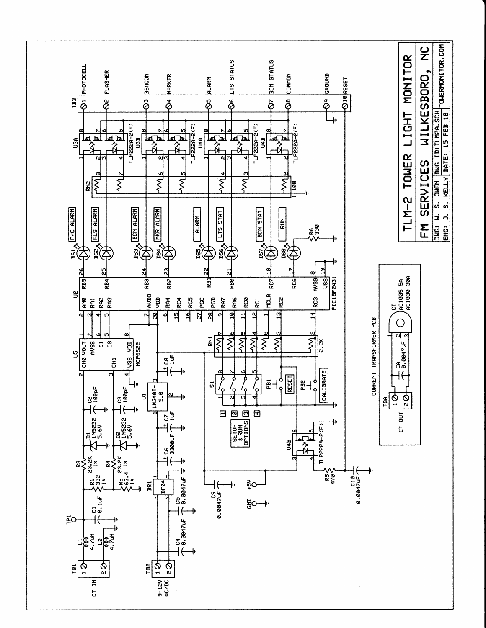